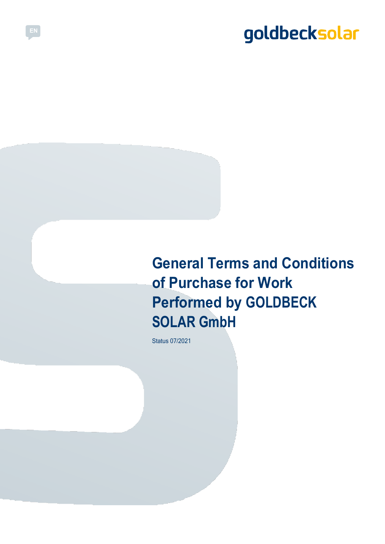# **General Terms and Conditions of Purchase for Work Performed by GOLDBECK SOLAR GmbH**

Status 07/2021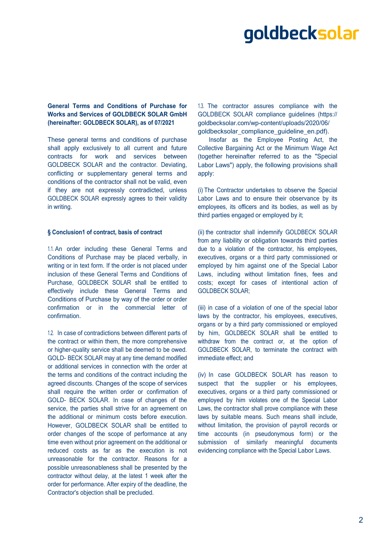## **General Terms and Conditions of Purchase for Works and Services of GOLDBECK SOLAR GmbH (hereinafter: GOLDBECK SOLAR), as of 07/2021**

These general terms and conditions of purchase shall apply exclusively to all current and future contracts for work and services between GOLDBECK SOLAR and the contractor. Deviating, conflicting or supplementary general terms and conditions of the contractor shall not be valid, even if they are not expressly contradicted, unless GOLDBECK SOLAR expressly agrees to their validity in writing.

#### **§ Conclusion1 of contract, basis of contract**

1.1. An order including these General Terms and Conditions of Purchase may be placed verbally, in writing or in text form. If the order is not placed under inclusion of these General Terms and Conditions of Purchase, GOLDBECK SOLAR shall be entitled to effectively include these General Terms and Conditions of Purchase by way of the order or order confirmation or in the commercial letter of confirmation.

1.2. In case of contradictions between different parts of the contract or within them, the more comprehensive or higher-quality service shall be deemed to be owed. GOLD- BECK SOLAR may at any time demand modified or additional services in connection with the order at the terms and conditions of the contract including the agreed discounts. Changes of the scope of services shall require the written order or confirmation of GOLD- BECK SOLAR. In case of changes of the service, the parties shall strive for an agreement on the additional or minimum costs before execution. However, GOLDBECK SOLAR shall be entitled to order changes of the scope of performance at any time even without prior agreement on the additional or reduced costs as far as the execution is not unreasonable for the contractor. Reasons for a possible unreasonableness shall be presented by the contractor without delay, at the latest 1 week after the order for performance. After expiry of the deadline, the Contractor's objection shall be precluded.

1.3. The contractor assures compliance with the GOLDBECK SOLAR compliance guidelines (https:// goldbecksolar.com/wp-content/uploads/2020/06/ goldbecksolar\_compliance\_guideline\_en.pdf).

Insofar as the Employee Posting Act, the Collective Bargaining Act or the Minimum Wage Act (together hereinafter referred to as the "Special Labor Laws") apply, the following provisions shall apply:

(i) The Contractor undertakes to observe the Special Labor Laws and to ensure their observance by its employees, its officers and its bodies, as well as by third parties engaged or employed by it;

(ii) the contractor shall indemnify GOLDBECK SOLAR from any liability or obligation towards third parties due to a violation of the contractor, his employees, executives, organs or a third party commissioned or employed by him against one of the Special Labor Laws, including without limitation fines, fees and costs; except for cases of intentional action of GOLDBECK SOLAR;

(iii) in case of a violation of one of the special labor laws by the contractor, his employees, executives, organs or by a third party commissioned or employed by him, GOLDBECK SOLAR shall be entitled to withdraw from the contract or, at the option of GOLDBECK SOLAR, to terminate the contract with immediate effect; and

(iv) In case GOLDBECK SOLAR has reason to suspect that the supplier or his employees, executives, organs or a third party commissioned or employed by him violates one of the Special Labor Laws, the contractor shall prove compliance with these laws by suitable means. Such means shall include, without limitation, the provision of payroll records or time accounts (in pseudonymous form) or the submission of similarly meaningful documents evidencing compliance with the Special Labor Laws.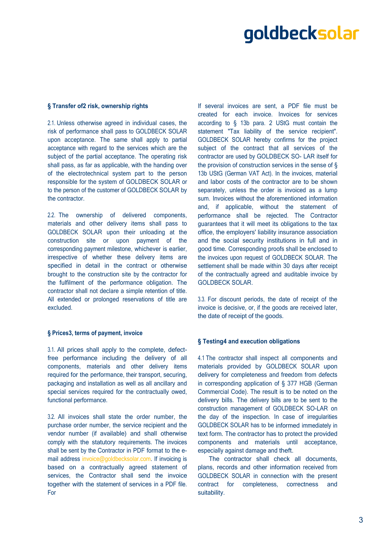### **§ Transfer of2 risk, ownership rights**

2.1. Unless otherwise agreed in individual cases, the risk of performance shall pass to GOLDBECK SOLAR upon acceptance. The same shall apply to partial acceptance with regard to the services which are the subject of the partial acceptance. The operating risk shall pass, as far as applicable, with the handing over of the electrotechnical system part to the person responsible for the system of GOLDBECK SOLAR or to the person of the customer of GOLDBECK SOLAR by the contractor.

2.2. The ownership of delivered components, materials and other delivery items shall pass to GOLDBECK SOLAR upon their unloading at the construction site or upon payment of the corresponding payment milestone, whichever is earlier, irrespective of whether these delivery items are specified in detail in the contract or otherwise brought to the construction site by the contractor for the fulfilment of the performance obligation. The contractor shall not declare a simple retention of title. All extended or prolonged reservations of title are excluded.

### **§ Prices3, terms of payment, invoice**

3.1. All prices shall apply to the complete, defectfree performance including the delivery of all components, materials and other delivery items required for the performance, their transport, securing, packaging and installation as well as all ancillary and special services required for the contractually owed, functional performance.

3.2. All invoices shall state the order number, the purchase order number, the service recipient and the vendor number (if available) and shall otherwise comply with the statutory requirements. The invoices shall be sent by the Contractor in PDF format to the email address [invoice@goldbecksolar.com.](mailto:invoice@goldbecksolar.com) If invoicing is based on a contractually agreed statement of services, the Contractor shall send the invoice together with the statement of services in a PDF file. For

If several invoices are sent, a PDF file must be created for each invoice. Invoices for services according to § 13b para. 2 UStG must contain the statement "Tax liability of the service recipient". GOLDBECK SOLAR hereby confirms for the project subject of the contract that all services of the contractor are used by GOLDBECK SO- LAR itself for the provision of construction services in the sense of § 13b UStG (German VAT Act). In the invoices, material and labor costs of the contractor are to be shown separately, unless the order is invoiced as a lump sum. Invoices without the aforementioned information and, if applicable, without the statement of performance shall be rejected. The Contractor guarantees that it will meet its obligations to the tax office, the employers' liability insurance association and the social security institutions in full and in good time. Corresponding proofs shall be enclosed to the invoices upon request of GOLDBECK SOLAR. The settlement shall be made within 30 days after receipt of the contractually agreed and auditable invoice by GOLDBECK SOLAR.

3.3. For discount periods, the date of receipt of the invoice is decisive, or, if the goods are received later, the date of receipt of the goods.

### **§ Testing4 and execution obligations**

4.1 The contractor shall inspect all components and materials provided by GOLDBECK SOLAR upon delivery for completeness and freedom from defects in corresponding application of § 377 HGB (German Commercial Code). The result is to be noted on the delivery bills. The delivery bills are to be sent to the construction management of GOLDBECK SO-LAR on the day of the inspection. In case of irregularities GOLDBECK SOLAR has to be informed immediately in text form. The contractor has to protect the provided components and materials until acceptance, especially against damage and theft.

The contractor shall check all documents, plans, records and other information received from GOLDBECK SOLAR in connection with the present contract for completeness, correctness and suitability.